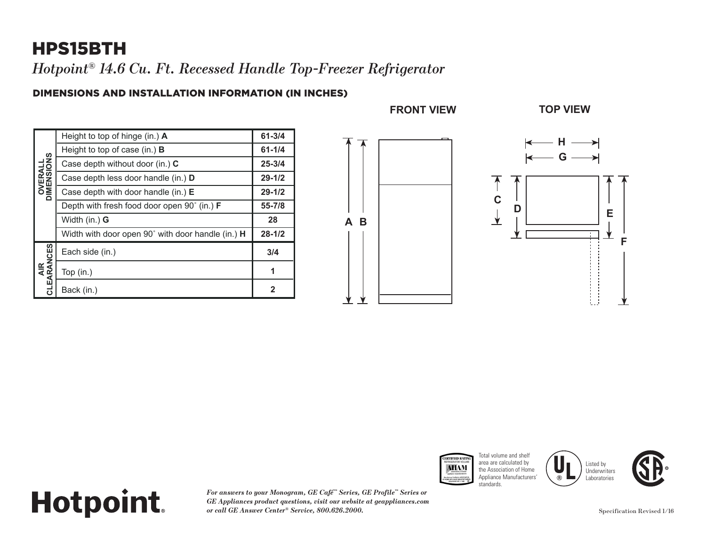## HPS15BTH

*Hotpoint® 14.6 Cu. Ft. Recessed Handle Top-Freezer Refrigerator*

#### DIMENSIONS AND INSTALLATION INFORMATION (IN INCHES)

| <b>OVERALL</b><br>DIMENSIONS | Height to top of hinge (in.) A                    | $61 - 3/4$   |
|------------------------------|---------------------------------------------------|--------------|
|                              | Height to top of case (in.) $\bf{B}$              | $61 - 1/4$   |
|                              | Case depth without door (in.) C                   | $25 - 3/4$   |
|                              | Case depth less door handle (in.) D               | $29 - 1/2$   |
|                              | Case depth with door handle (in.) $E$             | $29 - 1/2$   |
|                              | Depth with fresh food door open 90° (in.) F       | 55-7/8       |
|                              | Width (in.) <b>G</b>                              | 28           |
|                              | Width with door open 90° with door handle (in.) H | $28 - 1/2$   |
| AIR<br>CLEARANCES            | Each side (in.)                                   | 3/4          |
|                              | Top (in.)                                         | 1            |
|                              | Back (in.)                                        | $\mathbf{2}$ |









## **Hotpoint.**

*For answers to your Monogram, GE Café™ Series, GE Profile™ Series or GE Appliances product questions, visit our website at geappliances.com or call GE Answer Center® Service, 800.626.2000.*

**F**